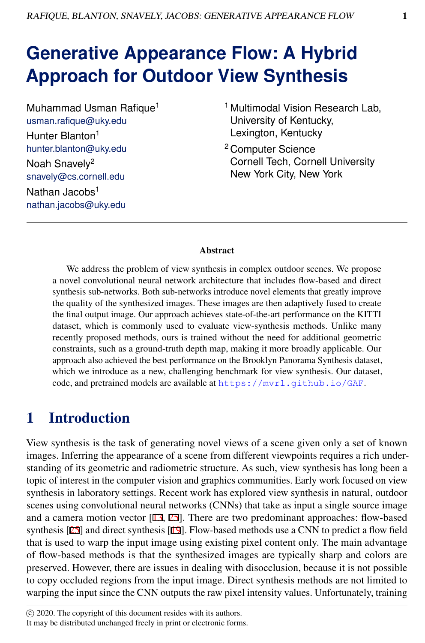# **Generative Appearance Flow: A Hybrid Approach for Outdoor View Synthesis**

Muhammad Usman Rafique<sup>1</sup> usman.rafique@uky.edu Hunter Blanton<sup>1</sup> hunter.blanton@uky.edu Noah Snavely<sup>2</sup> snavely@cs.cornell.edu Nathan Jacobs<sup>1</sup> nathan.jacobs@uky.edu

- <sup>1</sup> Multimodal Vision Research Lab, University of Kentucky, Lexington, Kentucky
- <sup>2</sup> Computer Science Cornell Tech, Cornell University New York City, New York

#### **Abstract**

We address the problem of view synthesis in complex outdoor scenes. We propose a novel convolutional neural network architecture that includes flow-based and direct synthesis sub-networks. Both sub-networks introduce novel elements that greatly improve the quality of the synthesized images. These images are then adaptively fused to create the final output image. Our approach achieves state-of-the-art performance on the KITTI dataset, which is commonly used to evaluate view-synthesis methods. Unlike many recently proposed methods, ours is trained without the need for additional geometric constraints, such as a ground-truth depth map, making it more broadly applicable. Our approach also achieved the best performance on the Brooklyn Panorama Synthesis dataset, which we introduce as a new, challenging benchmark for view synthesis. Our dataset, code, and pretrained models are available at <https://mvrl.github.io/GAF>.

## 1 Introduction

View synthesis is the task of generating novel views of a scene given only a set of known images. Inferring the appearance of a scene from different viewpoints requires a rich understanding of its geometric and radiometric structure. As such, view synthesis has long been a topic of interest in the computer vision and graphics communities. Early work focused on view synthesis in laboratory settings. Recent work has explored view synthesis in natural, outdoor scenes using convolutional neural networks (CNNs) that take as input a single source image and a camera motion vector [13, 25]. There are two predominant approaches: flow-based synthesis [25] and direct synthesis [19]. Flow-based methods use a CNN to predict a flow field that is used to warp the input image using existing pixel content only. The main advantage of flow-based methods is that the synthesized images are typically sharp and colors are preserved. However, there are issues in dealing with disocclusion, because it is not possible to copy occluded regions from the input image. Direct synthesis methods are not limited to warping the input since the CNN outputs the raw pixel intensity values. Unfortunately, training

c 2020. The copyright of this document resides with its authors.

It may be distributed unchanged freely in print or electronic forms.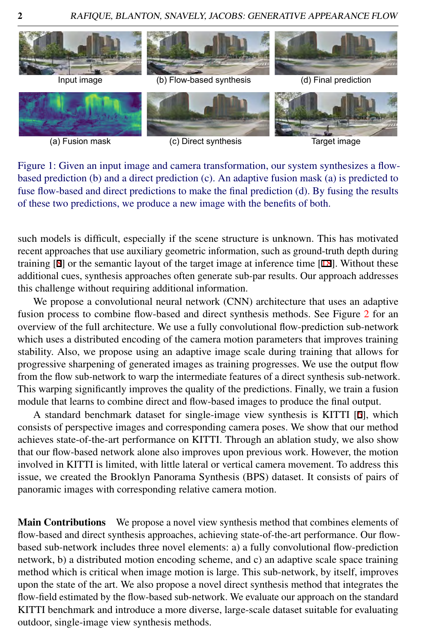

(a) Fusion mask (c) Direct synthesis

Target image

Figure 1: Given an input image and camera transformation, our system synthesizes a flowbased prediction (b) and a direct prediction (c). An adaptive fusion mask (a) is predicted to fuse flow-based and direct predictions to make the final prediction (d). By fusing the results of these two predictions, we produce a new image with the benefits of both.

such models is difficult, especially if the scene structure is unknown. This has motivated recent approaches that use auxiliary geometric information, such as ground-truth depth during training [8] or the semantic layout of the target image at inference time [18]. Without these additional cues, synthesis approaches often generate sub-par results. Our approach addresses this challenge without requiring additional information.

We propose a convolutional neural network (CNN) architecture that uses an adaptive fusion process to combine flow-based and direct synthesis methods. See Figure [2](#page-3-0) for an overview of the full architecture. We use a fully convolutional flow-prediction sub-network which uses a distributed encoding of the camera motion parameters that improves training stability. Also, we propose using an adaptive image scale during training that allows for progressive sharpening of generated images as training progresses. We use the output flow from the flow sub-network to warp the intermediate features of a direct synthesis sub-network. This warping significantly improves the quality of the predictions. Finally, we train a fusion module that learns to combine direct and flow-based images to produce the final output.

A standard benchmark dataset for single-image view synthesis is KITTI [6], which consists of perspective images and corresponding camera poses. We show that our method achieves state-of-the-art performance on KITTI. Through an ablation study, we also show that our flow-based network alone also improves upon previous work. However, the motion involved in KITTI is limited, with little lateral or vertical camera movement. To address this issue, we created the Brooklyn Panorama Synthesis (BPS) dataset. It consists of pairs of panoramic images with corresponding relative camera motion.

Main Contributions We propose a novel view synthesis method that combines elements of flow-based and direct synthesis approaches, achieving state-of-the-art performance. Our flowbased sub-network includes three novel elements: a) a fully convolutional flow-prediction network, b) a distributed motion encoding scheme, and c) an adaptive scale space training method which is critical when image motion is large. This sub-network, by itself, improves upon the state of the art. We also propose a novel direct synthesis method that integrates the flow-field estimated by the flow-based sub-network. We evaluate our approach on the standard KITTI benchmark and introduce a more diverse, large-scale dataset suitable for evaluating outdoor, single-image view synthesis methods.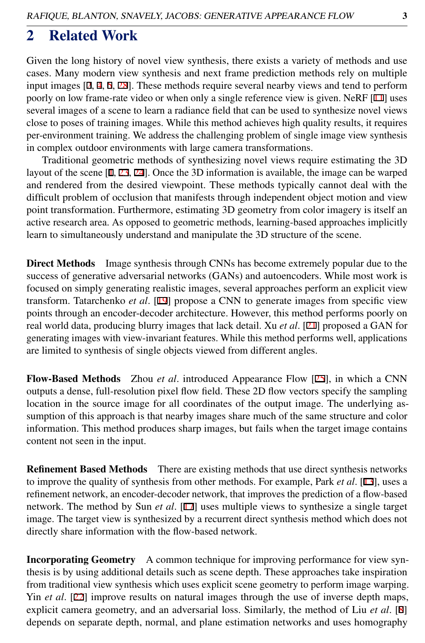### 2 Related Work

Given the long history of novel view synthesis, there exists a variety of methods and use cases. Many modern view synthesis and next frame prediction methods rely on multiple input images [2, 4, 5, 28]. These methods require several nearby views and tend to perform poorly on low frame-rate video or when only a single reference view is given. NeRF [11] uses several images of a scene to learn a radiance field that can be used to synthesize novel views close to poses of training images. While this method achieves high quality results, it requires per-environment training. We address the challenging problem of single image view synthesis in complex outdoor environments with large camera transformations.

Traditional geometric methods of synthesizing novel views require estimating the 3D layout of the scene [1, 23, 24]. Once the 3D information is available, the image can be warped and rendered from the desired viewpoint. These methods typically cannot deal with the difficult problem of occlusion that manifests through independent object motion and view point transformation. Furthermore, estimating 3D geometry from color imagery is itself an active research area. As opposed to geometric methods, learning-based approaches implicitly learn to simultaneously understand and manipulate the 3D structure of the scene.

Direct Methods Image synthesis through CNNs has become extremely popular due to the success of generative adversarial networks (GANs) and autoencoders. While most work is focused on simply generating realistic images, several approaches perform an explicit view transform. Tatarchenko *et al*. [19] propose a CNN to generate images from specific view points through an encoder-decoder architecture. However, this method performs poorly on real world data, producing blurry images that lack detail. Xu *et al*. [21] proposed a GAN for generating images with view-invariant features. While this method performs well, applications are limited to synthesis of single objects viewed from different angles.

Flow-Based Methods Zhou *et al*. introduced Appearance Flow [25], in which a CNN outputs a dense, full-resolution pixel flow field. These 2D flow vectors specify the sampling location in the source image for all coordinates of the output image. The underlying assumption of this approach is that nearby images share much of the same structure and color information. This method produces sharp images, but fails when the target image contains content not seen in the input.

**Refinement Based Methods** There are existing methods that use direct synthesis networks to improve the quality of synthesis from other methods. For example, Park *et al*. [13], uses a refinement network, an encoder-decoder network, that improves the prediction of a flow-based network. The method by Sun *et al*. [17] uses multiple views to synthesize a single target image. The target view is synthesized by a recurrent direct synthesis method which does not directly share information with the flow-based network.

Incorporating Geometry A common technique for improving performance for view synthesis is by using additional details such as scene depth. These approaches take inspiration from traditional view synthesis which uses explicit scene geometry to perform image warping. Yin *et al*. [22] improve results on natural images through the use of inverse depth maps, explicit camera geometry, and an adversarial loss. Similarly, the method of Liu *et al*. [8] depends on separate depth, normal, and plane estimation networks and uses homography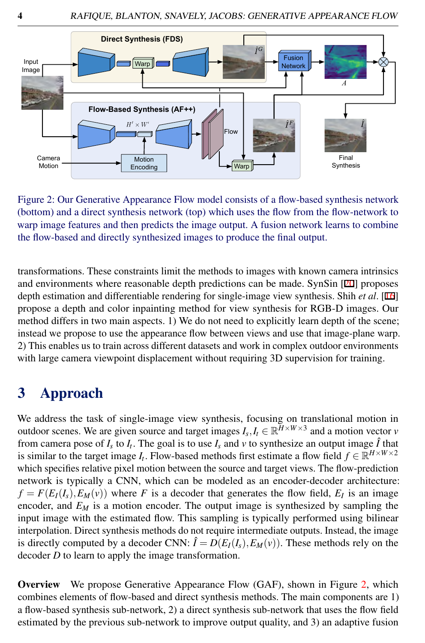

<span id="page-3-0"></span>Figure 2: Our Generative Appearance Flow model consists of a flow-based synthesis network (bottom) and a direct synthesis network (top) which uses the flow from the flow-network to warp image features and then predicts the image output. A fusion network learns to combine the flow-based and directly synthesized images to produce the final output.

transformations. These constraints limit the methods to images with known camera intrinsics and environments where reasonable depth predictions can be made. SynSin [20] proposes depth estimation and differentiable rendering for single-image view synthesis. Shih *et al*. [16] propose a depth and color inpainting method for view synthesis for RGB-D images. Our method differs in two main aspects. 1) We do not need to explicitly learn depth of the scene; instead we propose to use the appearance flow between views and use that image-plane warp. 2) This enables us to train across different datasets and work in complex outdoor environments with large camera viewpoint displacement without requiring 3D supervision for training.

# 3 Approach

We address the task of single-image view synthesis, focusing on translational motion in outdoor scenes. We are given source and target images  $I_s, I_t \in \mathbb{R}^{H \times W \times 3}$  and a motion vector *v* from camera pose of  $I_s$  to  $I_t$ . The goal is to use  $I_s$  and  $v$  to synthesize an output image  $\hat{I}$  that is similar to the target image *I*<sub>t</sub>. Flow-based methods first estimate a flow field  $f \in \mathbb{R}^{H \times W \times 2}$ which specifies relative pixel motion between the source and target views. The flow-prediction network is typically a CNN, which can be modeled as an encoder-decoder architecture:  $f = F(E_I(I_s), E_M(v))$  where *F* is a decoder that generates the flow field,  $E_I$  is an image encoder, and  $E_M$  is a motion encoder. The output image is synthesized by sampling the input image with the estimated flow. This sampling is typically performed using bilinear interpolation. Direct synthesis methods do not require intermediate outputs. Instead, the image is directly computed by a decoder CNN:  $\hat{I} = D(E_I(I_s), E_M(v))$ . These methods rely on the decoder *D* to learn to apply the image transformation.

**Overview** We propose Generative Appearance Flow (GAF), shown in Figure [2,](#page-3-0) which combines elements of flow-based and direct synthesis methods. The main components are 1) a flow-based synthesis sub-network, 2) a direct synthesis sub-network that uses the flow field estimated by the previous sub-network to improve output quality, and 3) an adaptive fusion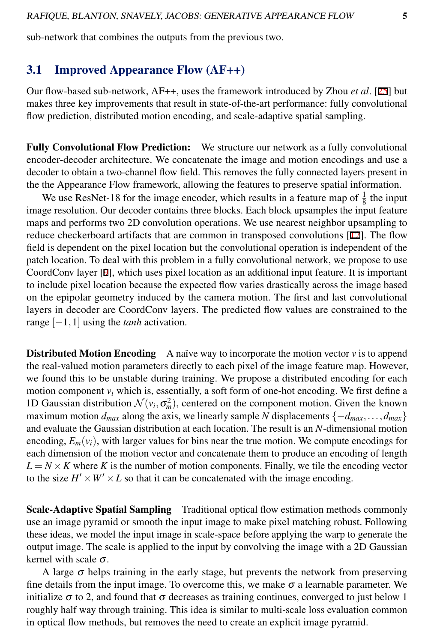sub-network that combines the outputs from the previous two.

### 3.1 Improved Appearance Flow (AF++)

Our flow-based sub-network, AF++, uses the framework introduced by Zhou *et al*. [25] but makes three key improvements that result in state-of-the-art performance: fully convolutional flow prediction, distributed motion encoding, and scale-adaptive spatial sampling.

Fully Convolutional Flow Prediction: We structure our network as a fully convolutional encoder-decoder architecture. We concatenate the image and motion encodings and use a decoder to obtain a two-channel flow field. This removes the fully connected layers present in the the Appearance Flow framework, allowing the features to preserve spatial information.

We use ResNet-18 for the image encoder, which results in a feature map of  $\frac{1}{8}$  the input we use  $ResNet-16$  for the mage encoder, which results in a readire map or  $_8^8$  the input feature image resolution. Our decoder contains three blocks. Each block upsamples the input feature maps and performs two 2D convolution operations. We use nearest neighbor upsampling to reduce checkerboard artifacts that are common in transposed convolutions [12]. The flow field is dependent on the pixel location but the convolutional operation is independent of the patch location. To deal with this problem in a fully convolutional network, we propose to use CoordConv layer [9], which uses pixel location as an additional input feature. It is important to include pixel location because the expected flow varies drastically across the image based on the epipolar geometry induced by the camera motion. The first and last convolutional layers in decoder are CoordConv layers. The predicted flow values are constrained to the range [−1,1] using the *tanh* activation.

**Distributed Motion Encoding** A naïve way to incorporate the motion vector  $\nu$  is to append the real-valued motion parameters directly to each pixel of the image feature map. However, we found this to be unstable during training. We propose a distributed encoding for each motion component  $v_i$  which is, essentially, a soft form of one-hot encoding. We first define a 1D Gaussian distribution  $\mathcal{N}(v_i, \sigma_m^2)$ , centered on the component motion. Given the known maximum motion  $d_{max}$  along the axis, we linearly sample *N* displacements  $\{-d_{max}, \ldots, d_{max}\}$ and evaluate the Gaussian distribution at each location. The result is an *N*-dimensional motion encoding,  $E_m(v_i)$ , with larger values for bins near the true motion. We compute encodings for each dimension of the motion vector and concatenate them to produce an encoding of length  $L = N \times K$  where K is the number of motion components. Finally, we tile the encoding vector to the size  $H' \times W' \times L$  so that it can be concatenated with the image encoding.

Scale-Adaptive Spatial Sampling Traditional optical flow estimation methods commonly use an image pyramid or smooth the input image to make pixel matching robust. Following these ideas, we model the input image in scale-space before applying the warp to generate the output image. The scale is applied to the input by convolving the image with a 2D Gaussian kernel with scale  $\sigma$ .

A large  $\sigma$  helps training in the early stage, but prevents the network from preserving fine details from the input image. To overcome this, we make  $\sigma$  a learnable parameter. We initialize  $\sigma$  to 2, and found that  $\sigma$  decreases as training continues, converged to just below 1 roughly half way through training. This idea is similar to multi-scale loss evaluation common in optical flow methods, but removes the need to create an explicit image pyramid.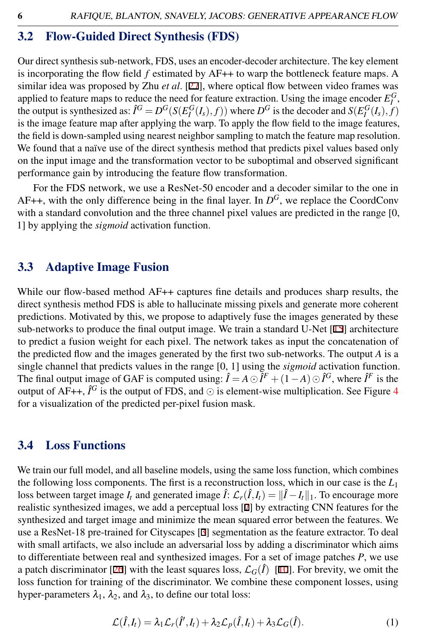#### 3.2 Flow-Guided Direct Synthesis (FDS)

Our direct synthesis sub-network, FDS, uses an encoder-decoder architecture. The key element is incorporating the flow field *f* estimated by AF++ to warp the bottleneck feature maps. A similar idea was proposed by Zhu *et al*. [27], where optical flow between video frames was applied to feature maps to reduce the need for feature extraction. Using the image encoder  $E_I^G$ , applied to feature maps to reduce the need for reature extraction. Using the image encoder  $E_I$ ,  $\phi$ , the output is synthesized as:  $\hat{I}^G = D^G(S(E_I^G(I_s), f))$  where  $D^G$  is the decoder and  $S(E_I^G(I_s), f)$ is the image feature map after applying the warp. To apply the flow field to the image features, the field is down-sampled using nearest neighbor sampling to match the feature map resolution. We found that a naïve use of the direct synthesis method that predicts pixel values based only on the input image and the transformation vector to be suboptimal and observed significant performance gain by introducing the feature flow transformation.

For the FDS network, we use a ResNet-50 encoder and a decoder similar to the one in AF++, with the only difference being in the final layer. In  $D^G$ , we replace the CoordConv with a standard convolution and the three channel pixel values are predicted in the range [0, 1] by applying the *sigmoid* activation function.

#### 3.3 Adaptive Image Fusion

While our flow-based method AF++ captures fine details and produces sharp results, the direct synthesis method FDS is able to hallucinate missing pixels and generate more coherent predictions. Motivated by this, we propose to adaptively fuse the images generated by these sub-networks to produce the final output image. We train a standard U-Net  $[15]$  architecture to predict a fusion weight for each pixel. The network takes as input the concatenation of the predicted flow and the images generated by the first two sub-networks. The output *A* is a single channel that predicts values in the range [0, 1] using the *sigmoid* activation function. The final output image of GAF is computed using:  $\hat{I} = A \odot \hat{I}^F + (1 - A) \odot \hat{I}^G$ , where  $\hat{I}^F$  is the output of AF++,  $\hat{I}^G$  is the output of FDS, and  $\odot$  is element-wise multiplication. See Figure [4](#page-8-0) for a visualization of the predicted per-pixel fusion mask.

#### 3.4 Loss Functions

We train our full model, and all baseline models, using the same loss function, which combines the following loss components. The first is a reconstruction loss, which in our case is the *L*<sup>1</sup> loss between target image  $I_t$  and generated image  $\hat{I}$ :  $\mathcal{L}_r(\hat{I}, I_t) = ||\hat{I} - I_t||_1$ . To encourage more realistic synthesized images, we add a perceptual loss [7] by extracting CNN features for the synthesized and target image and minimize the mean squared error between the features. We use a ResNet-18 pre-trained for Cityscapes [3] segmentation as the feature extractor. To deal with small artifacts, we also include an adversarial loss by adding a discriminator which aims to differentiate between real and synthesized images. For a set of image patches *P*, we use a patch discriminator [26] with the least squares loss,  $\mathcal{L}_G(\hat{I})$  [10]. For brevity, we omit the loss function for training of the discriminator. We combine these component losses, using hyper-parameters  $\lambda_1$ ,  $\lambda_2$ , and  $\lambda_3$ , to define our total loss:

$$
\mathcal{L}(\hat{I},I_t) = \lambda_1 \mathcal{L}_r(\hat{I}',I_t) + \lambda_2 \mathcal{L}_p(\hat{I},I_t) + \lambda_3 \mathcal{L}_G(\hat{I}).
$$
\n(1)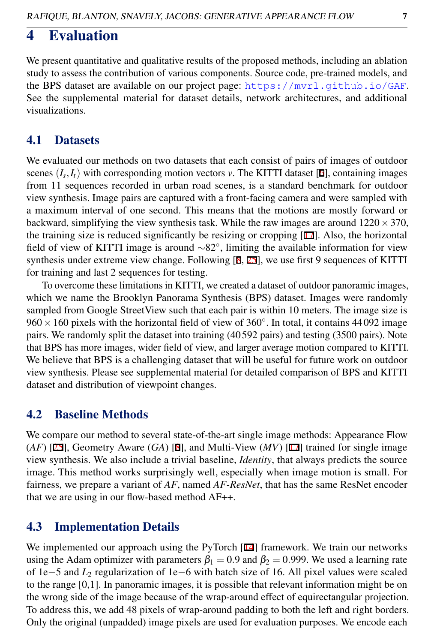### 4 Evaluation

We present quantitative and qualitative results of the proposed methods, including an ablation study to assess the contribution of various components. Source code, pre-trained models, and the BPS dataset are available on our project page: <https://mvrl.github.io/GAF>. See the supplemental material for dataset details, network architectures, and additional visualizations.

#### 4.1 Datasets

We evaluated our methods on two datasets that each consist of pairs of images of outdoor scenes  $(I_s, I_t)$  with corresponding motion vectors *v*. The KITTI dataset [6], containing images from 11 sequences recorded in urban road scenes, is a standard benchmark for outdoor view synthesis. Image pairs are captured with a front-facing camera and were sampled with a maximum interval of one second. This means that the motions are mostly forward or backward, simplifying the view synthesis task. While the raw images are around  $1220 \times 370$ , the training size is reduced significantly be resizing or cropping [17]. Also, the horizontal field of view of KITTI image is around ∼82◦ , limiting the available information for view synthesis under extreme view change. Following [8, 25], we use first 9 sequences of KITTI for training and last 2 sequences for testing.

To overcome these limitations in KITTI, we created a dataset of outdoor panoramic images, which we name the Brooklyn Panorama Synthesis (BPS) dataset. Images were randomly sampled from Google StreetView such that each pair is within 10 meters. The image size is  $960 \times 160$  pixels with the horizontal field of view of  $360^\circ$ . In total, it contains 44092 image pairs. We randomly split the dataset into training (40 592 pairs) and testing (3500 pairs). Note that BPS has more images, wider field of view, and larger average motion compared to KITTI. We believe that BPS is a challenging dataset that will be useful for future work on outdoor view synthesis. Please see supplemental material for detailed comparison of BPS and KITTI dataset and distribution of viewpoint changes.

#### 4.2 Baseline Methods

We compare our method to several state-of-the-art single image methods: Appearance Flow (*AF*) [25], Geometry Aware (*GA*) [8], and Multi-View (*MV*) [17] trained for single image view synthesis. We also include a trivial baseline, *Identity*, that always predicts the source image. This method works surprisingly well, especially when image motion is small. For fairness, we prepare a variant of *AF*, named *AF-ResNet*, that has the same ResNet encoder that we are using in our flow-based method AF++.

#### 4.3 Implementation Details

We implemented our approach using the PyTorch [14] framework. We train our networks using the Adam optimizer with parameters  $\beta_1 = 0.9$  and  $\beta_2 = 0.999$ . We used a learning rate of 1e−5 and *L*<sup>2</sup> regularization of 1e−6 with batch size of 16. All pixel values were scaled to the range [0,1]. In panoramic images, it is possible that relevant information might be on the wrong side of the image because of the wrap-around effect of equirectangular projection. To address this, we add 48 pixels of wrap-around padding to both the left and right borders. Only the original (unpadded) image pixels are used for evaluation purposes. We encode each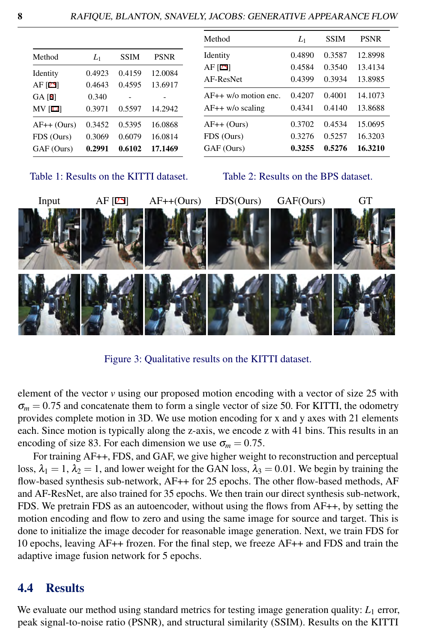| Method         | $L_1$  | SSIM   | <b>PSNR</b> |
|----------------|--------|--------|-------------|
| Identity       | 0.4923 | 0.4159 | 12.0084     |
| AF [25]        | 0.4643 | 0.4595 | 13.6917     |
| GA [8]         | 0.340  |        |             |
| <b>MV</b> [17] | 0.3971 | 0.5597 | 14.2942     |
| $AF++$ (Ours)  | 0.3452 | 0.5395 | 16.0868     |
| FDS (Ours)     | 0.3069 | 0.6079 | 16.0814     |
| GAF (Ours)     | 0.2991 | 0.6102 | 17.1469     |

| Method               | $L_1$  | <b>SSIM</b> | <b>PSNR</b> |
|----------------------|--------|-------------|-------------|
| Identity             | 0.4890 | 0.3587      | 12.8998     |
| AF $[25]$            | 0.4584 | 0.3540      | 13.4134     |
| AF-ResNet            | 0.4399 | 0.3934      | 13.8985     |
| AF++ w/o motion enc. | 0.4207 | 0.4001      | 14.1073     |
| $AF++$ w/o scaling   | 0.4341 | 0.4140      | 13.8688     |
| AF++ (Ours)          | 0.3702 | 0.4534      | 15.0695     |
| FDS (Ours)           | 0.3276 | 0.5257      | 16.3203     |
| GAF (Ours)           | 0.3255 | 0.5276      | 16.3210     |
|                      |        |             |             |

<span id="page-7-0"></span>Table 1: Results on the KITTI dataset.

<span id="page-7-1"></span>Table 2: Results on the BPS dataset.



<span id="page-7-2"></span>Figure 3: Qualitative results on the KITTI dataset.

element of the vector *v* using our proposed motion encoding with a vector of size 25 with  $\sigma_m$  = 0.75 and concatenate them to form a single vector of size 50. For KITTI, the odometry provides complete motion in 3D. We use motion encoding for x and y axes with 21 elements each. Since motion is typically along the z-axis, we encode z with 41 bins. This results in an encoding of size 83. For each dimension we use  $\sigma_m = 0.75$ .

For training AF++, FDS, and GAF, we give higher weight to reconstruction and perceptual loss,  $\lambda_1 = 1$ ,  $\lambda_2 = 1$ , and lower weight for the GAN loss,  $\lambda_3 = 0.01$ . We begin by training the flow-based synthesis sub-network, AF++ for 25 epochs. The other flow-based methods, AF and AF-ResNet, are also trained for 35 epochs. We then train our direct synthesis sub-network, FDS. We pretrain FDS as an autoencoder, without using the flows from AF++, by setting the motion encoding and flow to zero and using the same image for source and target. This is done to initialize the image decoder for reasonable image generation. Next, we train FDS for 10 epochs, leaving AF++ frozen. For the final step, we freeze AF++ and FDS and train the adaptive image fusion network for 5 epochs.

#### 4.4 Results

We evaluate our method using standard metrics for testing image generation quality:  $L_1$  error, peak signal-to-noise ratio (PSNR), and structural similarity (SSIM). Results on the KITTI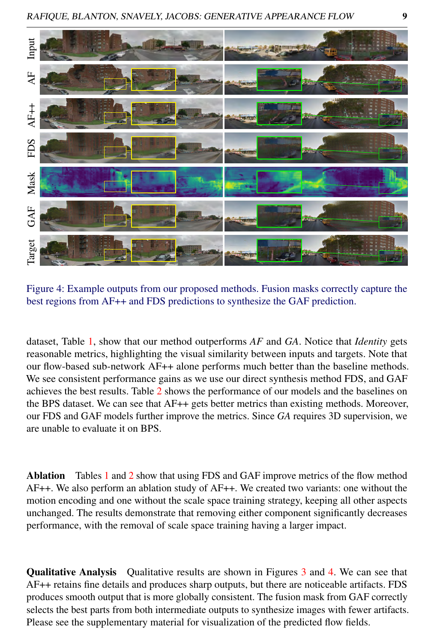

Figure 4: Example outputs from our proposed methods. Fusion masks correctly capture the best regions from AF++ and FDS predictions to synthesize the GAF prediction.

<span id="page-8-0"></span>dataset, Table [1,](#page-7-0) show that our method outperforms *AF* and *GA*. Notice that *Identity* gets reasonable metrics, highlighting the visual similarity between inputs and targets. Note that our flow-based sub-network AF++ alone performs much better than the baseline methods. We see consistent performance gains as we use our direct synthesis method FDS, and GAF achieves the best results. Table [2](#page-7-1) shows the performance of our models and the baselines on the BPS dataset. We can see that AF++ gets better metrics than existing methods. Moreover, our FDS and GAF models further improve the metrics. Since *GA* requires 3D supervision, we are unable to evaluate it on BPS.

Ablation Tables [1](#page-7-0) and [2](#page-7-1) show that using FDS and GAF improve metrics of the flow method AF++. We also perform an ablation study of AF++. We created two variants: one without the motion encoding and one without the scale space training strategy, keeping all other aspects unchanged. The results demonstrate that removing either component significantly decreases performance, with the removal of scale space training having a larger impact.

**Qualitative Analysis** Qualitative results are shown in Figures [3](#page-7-2) and [4.](#page-8-0) We can see that AF++ retains fine details and produces sharp outputs, but there are noticeable artifacts. FDS produces smooth output that is more globally consistent. The fusion mask from GAF correctly selects the best parts from both intermediate outputs to synthesize images with fewer artifacts. Please see the supplementary material for visualization of the predicted flow fields.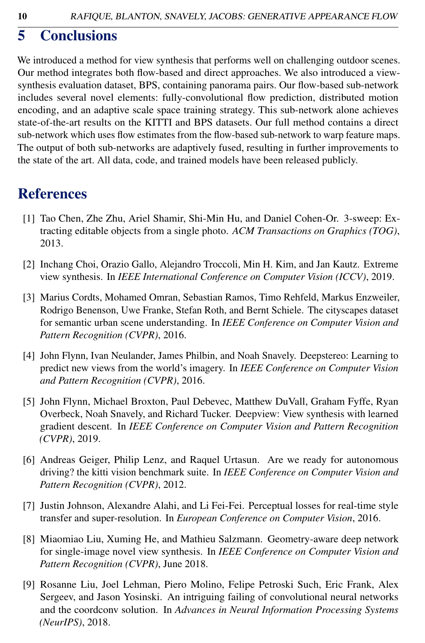# 5 Conclusions

We introduced a method for view synthesis that performs well on challenging outdoor scenes. Our method integrates both flow-based and direct approaches. We also introduced a viewsynthesis evaluation dataset, BPS, containing panorama pairs. Our flow-based sub-network includes several novel elements: fully-convolutional flow prediction, distributed motion encoding, and an adaptive scale space training strategy. This sub-network alone achieves state-of-the-art results on the KITTI and BPS datasets. Our full method contains a direct sub-network which uses flow estimates from the flow-based sub-network to warp feature maps. The output of both sub-networks are adaptively fused, resulting in further improvements to the state of the art. All data, code, and trained models have been released publicly.

# References

- [1] Tao Chen, Zhe Zhu, Ariel Shamir, Shi-Min Hu, and Daniel Cohen-Or. 3-sweep: Extracting editable objects from a single photo. *ACM Transactions on Graphics (TOG)*, 2013.
- [2] Inchang Choi, Orazio Gallo, Alejandro Troccoli, Min H. Kim, and Jan Kautz. Extreme view synthesis. In *IEEE International Conference on Computer Vision (ICCV)*, 2019.
- [3] Marius Cordts, Mohamed Omran, Sebastian Ramos, Timo Rehfeld, Markus Enzweiler, Rodrigo Benenson, Uwe Franke, Stefan Roth, and Bernt Schiele. The cityscapes dataset for semantic urban scene understanding. In *IEEE Conference on Computer Vision and Pattern Recognition (CVPR)*, 2016.
- [4] John Flynn, Ivan Neulander, James Philbin, and Noah Snavely. Deepstereo: Learning to predict new views from the world's imagery. In *IEEE Conference on Computer Vision and Pattern Recognition (CVPR)*, 2016.
- [5] John Flynn, Michael Broxton, Paul Debevec, Matthew DuVall, Graham Fyffe, Ryan Overbeck, Noah Snavely, and Richard Tucker. Deepview: View synthesis with learned gradient descent. In *IEEE Conference on Computer Vision and Pattern Recognition (CVPR)*, 2019.
- [6] Andreas Geiger, Philip Lenz, and Raquel Urtasun. Are we ready for autonomous driving? the kitti vision benchmark suite. In *IEEE Conference on Computer Vision and Pattern Recognition (CVPR)*, 2012.
- [7] Justin Johnson, Alexandre Alahi, and Li Fei-Fei. Perceptual losses for real-time style transfer and super-resolution. In *European Conference on Computer Vision*, 2016.
- [8] Miaomiao Liu, Xuming He, and Mathieu Salzmann. Geometry-aware deep network for single-image novel view synthesis. In *IEEE Conference on Computer Vision and Pattern Recognition (CVPR)*, June 2018.
- [9] Rosanne Liu, Joel Lehman, Piero Molino, Felipe Petroski Such, Eric Frank, Alex Sergeev, and Jason Yosinski. An intriguing failing of convolutional neural networks and the coordconv solution. In *Advances in Neural Information Processing Systems (NeurIPS)*, 2018.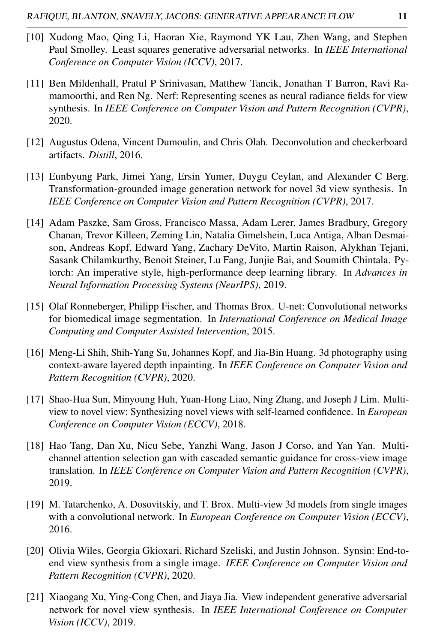- [10] Xudong Mao, Qing Li, Haoran Xie, Raymond YK Lau, Zhen Wang, and Stephen Paul Smolley. Least squares generative adversarial networks. In *IEEE International Conference on Computer Vision (ICCV)*, 2017.
- [11] Ben Mildenhall, Pratul P Srinivasan, Matthew Tancik, Jonathan T Barron, Ravi Ramamoorthi, and Ren Ng. Nerf: Representing scenes as neural radiance fields for view synthesis. In *IEEE Conference on Computer Vision and Pattern Recognition (CVPR)*, 2020.
- [12] Augustus Odena, Vincent Dumoulin, and Chris Olah. Deconvolution and checkerboard artifacts. *Distill*, 2016.
- [13] Eunbyung Park, Jimei Yang, Ersin Yumer, Duygu Ceylan, and Alexander C Berg. Transformation-grounded image generation network for novel 3d view synthesis. In *IEEE Conference on Computer Vision and Pattern Recognition (CVPR)*, 2017.
- [14] Adam Paszke, Sam Gross, Francisco Massa, Adam Lerer, James Bradbury, Gregory Chanan, Trevor Killeen, Zeming Lin, Natalia Gimelshein, Luca Antiga, Alban Desmaison, Andreas Kopf, Edward Yang, Zachary DeVito, Martin Raison, Alykhan Tejani, Sasank Chilamkurthy, Benoit Steiner, Lu Fang, Junjie Bai, and Soumith Chintala. Pytorch: An imperative style, high-performance deep learning library. In *Advances in Neural Information Processing Systems (NeurIPS)*, 2019.
- [15] Olaf Ronneberger, Philipp Fischer, and Thomas Brox. U-net: Convolutional networks for biomedical image segmentation. In *International Conference on Medical Image Computing and Computer Assisted Intervention*, 2015.
- [16] Meng-Li Shih, Shih-Yang Su, Johannes Kopf, and Jia-Bin Huang. 3d photography using context-aware layered depth inpainting. In *IEEE Conference on Computer Vision and Pattern Recognition (CVPR)*, 2020.
- [17] Shao-Hua Sun, Minyoung Huh, Yuan-Hong Liao, Ning Zhang, and Joseph J Lim. Multiview to novel view: Synthesizing novel views with self-learned confidence. In *European Conference on Computer Vision (ECCV)*, 2018.
- [18] Hao Tang, Dan Xu, Nicu Sebe, Yanzhi Wang, Jason J Corso, and Yan Yan. Multichannel attention selection gan with cascaded semantic guidance for cross-view image translation. In *IEEE Conference on Computer Vision and Pattern Recognition (CVPR)*, 2019.
- [19] M. Tatarchenko, A. Dosovitskiy, and T. Brox. Multi-view 3d models from single images with a convolutional network. In *European Conference on Computer Vision (ECCV)*, 2016.
- [20] Olivia Wiles, Georgia Gkioxari, Richard Szeliski, and Justin Johnson. Synsin: End-toend view synthesis from a single image. *IEEE Conference on Computer Vision and Pattern Recognition (CVPR)*, 2020.
- [21] Xiaogang Xu, Ying-Cong Chen, and Jiaya Jia. View independent generative adversarial network for novel view synthesis. In *IEEE International Conference on Computer Vision (ICCV)*, 2019.